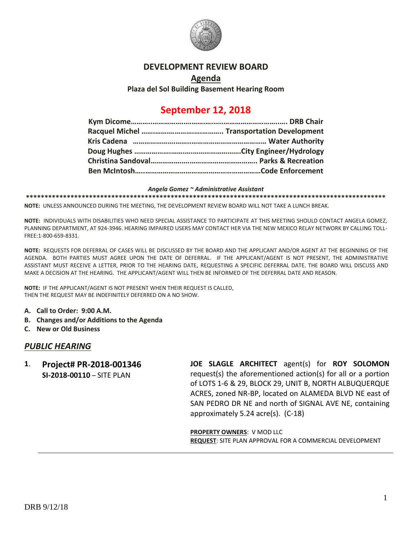

#### **DEVELOPMENT REVIEW BOARD**

### **Agenda Plaza del Sol Building Basement Hearing Room**

# **September 12, 2018**

#### *Angela Gomez ~ Administrative Assistant*

**\*\*\*\*\*\*\*\*\*\*\*\*\*\*\*\*\*\*\*\*\*\*\*\*\*\*\*\*\*\*\*\*\*\*\*\*\*\*\*\*\*\*\*\*\*\*\*\*\*\*\*\*\*\*\*\*\*\*\*\*\*\*\*\*\*\*\*\*\*\*\*\*\*\*\*\*\*\*\*\*\*\*\*\*\*\*\*\*\*\*\*\*\*\*\*\*\***

**NOTE:** UNLESS ANNOUNCED DURING THE MEETING, THE DEVELOPMENT REVIEW BOARD WILL NOT TAKE A LUNCH BREAK.

**NOTE:** INDIVIDUALS WITH DISABILITIES WHO NEED SPECIAL ASSISTANCE TO PARTICIPATE AT THIS MEETING SHOULD CONTACT ANGELA GOMEZ, PLANNING DEPARTMENT, AT 924-3946. HEARING IMPAIRED USERS MAY CONTACT HER VIA THE NEW MEXICO RELAY NETWORK BY CALLING TOLL-FREE:1-800-659-8331.

**NOTE:** REQUESTS FOR DEFERRAL OF CASES WILL BE DISCUSSED BY THE BOARD AND THE APPLICANT AND/OR AGENT AT THE BEGINNING OF THE AGENDA. BOTH PARTIES MUST AGREE UPON THE DATE OF DEFERRAL. IF THE APPLICANT/AGENT IS NOT PRESENT, THE ADMINISTRATIVE ASSISTANT MUST RECEIVE A LETTER, PRIOR TO THE HEARING DATE, REQUESTING A SPECIFIC DEFERRAL DATE. THE BOARD WILL DISCUSS AND MAKE A DECISION AT THE HEARING. THE APPLICANT/AGENT WILL THEN BE INFORMED OF THE DEFERRAL DATE AND REASON.

**NOTE:** IF THE APPLICANT/AGENT IS NOT PRESENT WHEN THEIR REQUEST IS CALLED, THEN THE REQUEST MAY BE INDEFINITELY DEFERRED ON A NO SHOW.

- **A. Call to Order: 9:00 A.M.**
- **B. Changes and/or Additions to the Agenda**
- **C. New or Old Business**

#### *PUBLIC HEARING*

**1**. **Project# PR-2018-001346 SI-2018-00110** – SITE PLAN **JOE SLAGLE ARCHITECT** agent(s) for **ROY SOLOMON** request(s) the aforementioned action(s) for all or a portion of LOTS 1-6 & 29, BLOCK 29, UNIT B, NORTH ALBUQUERQUE ACRES, zoned NR-BP, located on ALAMEDA BLVD NE east of SAN PEDRO DR NE and north of SIGNAL AVE NE, containing approximately 5.24 acre(s). (C-18)

> **PROPERTY OWNERS**: V MOD LLC **REQUEST**: SITE PLAN APPROVAL FOR A COMMERCIAL DEVELOPMENT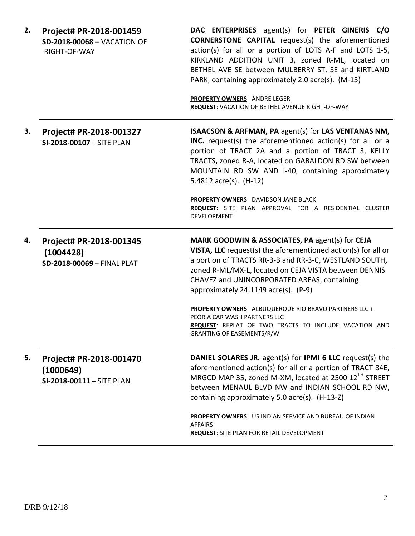| 2. | Project# PR-2018-001459<br><b>SD-2018-00068 - VACATION OF</b><br>RIGHT-OF-WAY | DAC ENTERPRISES agent(s) for PETER GINERIS C/O<br><b>CORNERSTONE CAPITAL</b> request(s) the aforementioned<br>action(s) for all or a portion of LOTS A-F and LOTS 1-5,<br>KIRKLAND ADDITION UNIT 3, zoned R-ML, located on<br>BETHEL AVE SE between MULBERRY ST. SE and KIRTLAND<br>PARK, containing approximately 2.0 acre(s). (M-15)<br><b>PROPERTY OWNERS: ANDRE LEGER</b> |  |
|----|-------------------------------------------------------------------------------|-------------------------------------------------------------------------------------------------------------------------------------------------------------------------------------------------------------------------------------------------------------------------------------------------------------------------------------------------------------------------------|--|
|    |                                                                               | REQUEST: VACATION OF BETHEL AVENUE RIGHT-OF-WAY                                                                                                                                                                                                                                                                                                                               |  |
| 3. | Project# PR-2018-001327<br>SI-2018-00107 - SITE PLAN                          | ISAACSON & ARFMAN, PA agent(s) for LAS VENTANAS NM,<br>INC. request(s) the aforementioned action(s) for all or a<br>portion of TRACT 2A and a portion of TRACT 3, KELLY<br>TRACTS, zoned R-A, located on GABALDON RD SW between<br>MOUNTAIN RD SW AND I-40, containing approximately<br>5.4812 $\arccos $ . (H-12)                                                            |  |
|    |                                                                               | PROPERTY OWNERS: DAVIDSON JANE BLACK<br>REQUEST: SITE PLAN APPROVAL FOR A RESIDENTIAL CLUSTER<br>DEVELOPMENT                                                                                                                                                                                                                                                                  |  |
| 4. | Project# PR-2018-001345<br>(1004428)<br>SD-2018-00069 - FINAL PLAT            | MARK GOODWIN & ASSOCIATES, PA agent(s) for CEJA<br>VISTA, LLC request(s) the aforementioned action(s) for all or<br>a portion of TRACTS RR-3-B and RR-3-C, WESTLAND SOUTH,<br>zoned R-ML/MX-L, located on CEJA VISTA between DENNIS<br>CHAVEZ and UNINCORPORATED AREAS, containing<br>approximately 24.1149 acre(s). (P-9)                                                    |  |
|    |                                                                               | PROPERTY OWNERS: ALBUQUERQUE RIO BRAVO PARTNERS LLC +<br>PEORIA CAR WASH PARTNERS LLC<br><b>REQUEST:</b> REPLAT OF TWO TRACTS TO INCLUDE VACATION AND<br><b>GRANTING OF EASEMENTS/R/W</b>                                                                                                                                                                                     |  |
| 5. | Project# PR-2018-001470<br>(1000649)<br>SI-2018-00111 - SITE PLAN             | DANIEL SOLARES JR. agent(s) for IPMI 6 LLC request(s) the<br>aforementioned action(s) for all or a portion of TRACT 84E,<br>MRGCD MAP 35, zoned M-XM, located at 2500 12 <sup>TH</sup> STREET<br>between MENAUL BLVD NW and INDIAN SCHOOL RD NW,<br>containing approximately 5.0 acre(s). (H-13-Z)                                                                            |  |
|    |                                                                               | <b>PROPERTY OWNERS:</b> US INDIAN SERVICE AND BUREAU OF INDIAN<br><b>AFFAIRS</b><br><b>REQUEST: SITE PLAN FOR RETAIL DEVELOPMENT</b>                                                                                                                                                                                                                                          |  |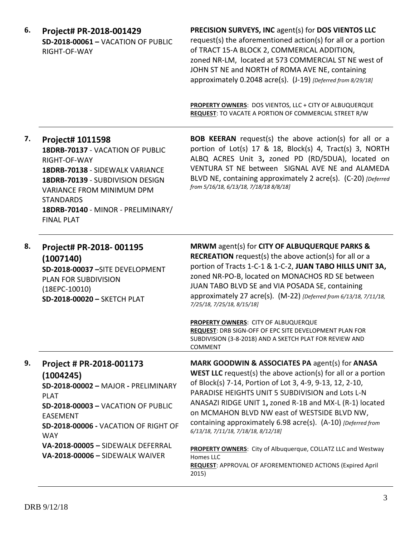| 6. | Project# PR-2018-001429<br><b>SD-2018-00061 - VACATION OF PUBLIC</b><br>RIGHT-OF-WAY                                                                                                                                                                                                      | PRECISION SURVEYS, INC agent(s) for DOS VIENTOS LLC<br>request(s) the aforementioned action(s) for all or a portion<br>of TRACT 15-A BLOCK 2, COMMERICAL ADDITION,<br>zoned NR-LM, located at 573 COMMERCIAL ST NE west of<br>JOHN ST NE and NORTH of ROMA AVE NE, containing<br>approximately 0.2048 acre(s). (J-19) [Deferred from 8/29/18]                                                                                                                                                                                                                                                                          |  |
|----|-------------------------------------------------------------------------------------------------------------------------------------------------------------------------------------------------------------------------------------------------------------------------------------------|------------------------------------------------------------------------------------------------------------------------------------------------------------------------------------------------------------------------------------------------------------------------------------------------------------------------------------------------------------------------------------------------------------------------------------------------------------------------------------------------------------------------------------------------------------------------------------------------------------------------|--|
|    |                                                                                                                                                                                                                                                                                           | PROPERTY OWNERS: DOS VIENTOS, LLC + CITY OF ALBUQUERQUE<br><b>REQUEST:</b> TO VACATE A PORTION OF COMMERCIAL STREET R/W                                                                                                                                                                                                                                                                                                                                                                                                                                                                                                |  |
| 7. | Project# 1011598<br>18DRB-70137 - VACATION OF PUBLIC<br>RIGHT-OF-WAY<br>18DRB-70138 - SIDEWALK VARIANCE<br>18DRB-70139 - SUBDIVISION DESIGN<br>VARIANCE FROM MINIMUM DPM<br><b>STANDARDS</b><br>18DRB-70140 - MINOR - PRELIMINARY/<br><b>FINAL PLAT</b>                                   | <b>BOB KEERAN</b> request(s) the above action(s) for all or a<br>portion of Lot(s) 17 & 18, Block(s) 4, Tract(s) 3, NORTH<br>ALBQ ACRES Unit 3, zoned PD (RD/5DUA), located on<br>VENTURA ST NE between SIGNAL AVE NE and ALAMEDA<br>BLVD NE, containing approximately 2 acre(s). (C-20) [Deferred<br>from 5/16/18, 6/13/18, 7/18/18 8/8/18]                                                                                                                                                                                                                                                                           |  |
| 8. | Project# PR-2018-001195<br>(1007140)<br>SD-2018-00037-SITE DEVELOPMENT<br>PLAN FOR SUBDIVISION<br>$(18EPC-10010)$<br>SD-2018-00020 - SKETCH PLAT                                                                                                                                          | MRWM agent(s) for CITY OF ALBUQUERQUE PARKS &<br><b>RECREATION</b> request(s) the above action(s) for all or a<br>portion of Tracts 1-C-1 & 1-C-2, JUAN TABO HILLS UNIT 3A,<br>zoned NR-PO-B, located on MONACHOS RD SE between<br>JUAN TABO BLVD SE and VIA POSADA SE, containing<br>approximately 27 acre(s). (M-22) [Deferred from 6/13/18, 7/11/18,<br>7/25/18, 7/25/18, 8/15/18]<br><b>PROPERTY OWNERS: CITY OF ALBUQUERQUE</b><br>REQUEST: DRB SIGN-OFF OF EPC SITE DEVELOPMENT PLAN FOR<br>SUBDIVISION (3-8-2018) AND A SKETCH PLAT FOR REVIEW AND<br><b>COMMENT</b>                                            |  |
| 9. | Project # PR-2018-001173<br>(1004245)<br>SD-2018-00002 - MAJOR - PRELIMINARY<br><b>PLAT</b><br><b>SD-2018-00003 - VACATION OF PUBLIC</b><br><b>EASEMENT</b><br>SD-2018-00006 - VACATION OF RIGHT OF<br><b>WAY</b><br>VA-2018-00005 - SIDEWALK DEFERRAL<br>VA-2018-00006 - SIDEWALK WAIVER | MARK GOODWIN & ASSOCIATES PA agent(s) for ANASA<br><b>WEST LLC</b> request(s) the above $action(s)$ for all or a portion<br>of Block(s) 7-14, Portion of Lot 3, 4-9, 9-13, 12, 2-10,<br>PARADISE HEIGHTS UNIT 5 SUBDIVISION and Lots L-N<br>ANASAZI RIDGE UNIT 1, zoned R-1B and MX-L (R-1) located<br>on MCMAHON BLVD NW east of WESTSIDE BLVD NW,<br>containing approximately 6.98 acre(s). (A-10) [Deferred from<br>6/13/18, 7/11/18, 7/18/18, 8/12/18]<br>PROPERTY OWNERS: City of Albuquerque, COLLATZ LLC and Westway<br>Homes LLC<br><b>REQUEST: APPROVAL OF AFOREMENTIONED ACTIONS (Expired April</b><br>2015) |  |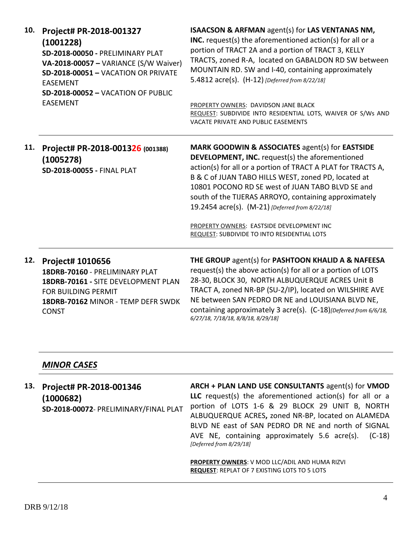| 10. | Project# PR-2018-001327<br>(1001228)<br>SD-2018-00050 - PRELIMINARY PLAT<br>VA-2018-00057 - VARIANCE (S/W Waiver)<br>SD-2018-00051 - VACATION OR PRIVATE<br><b>EASEMENT</b><br>SD-2018-00052 - VACATION OF PUBLIC<br><b>EASEMENT</b> | ISAACSON & ARFMAN agent(s) for LAS VENTANAS NM,<br>INC. request(s) the aforementioned $action(s)$ for all or a<br>portion of TRACT 2A and a portion of TRACT 3, KELLY<br>TRACTS, zoned R-A, located on GABALDON RD SW between<br>MOUNTAIN RD. SW and I-40, containing approximately<br>5.4812 acre(s). (H-12) [Deferred from 8/22/18]<br>PROPERTY OWNERS: DAVIDSON JANE BLACK<br>REQUEST: SUBDIVIDE INTO RESIDENTIAL LOTS, WAIVER OF S/Ws AND<br>VACATE PRIVATE AND PUBLIC EASEMENTS                    |
|-----|--------------------------------------------------------------------------------------------------------------------------------------------------------------------------------------------------------------------------------------|---------------------------------------------------------------------------------------------------------------------------------------------------------------------------------------------------------------------------------------------------------------------------------------------------------------------------------------------------------------------------------------------------------------------------------------------------------------------------------------------------------|
| 11. | Project# PR-2018-001326 (001388)<br>(1005278)<br>SD-2018-00055 - FINAL PLAT                                                                                                                                                          | <b>MARK GOODWIN &amp; ASSOCIATES agent(s) for EASTSIDE</b><br><b>DEVELOPMENT, INC.</b> request(s) the aforementioned<br>action(s) for all or a portion of TRACT A PLAT for TRACTS A,<br>B & C of JUAN TABO HILLS WEST, zoned PD, located at<br>10801 POCONO RD SE west of JUAN TABO BLVD SE and<br>south of the TIJERAS ARROYO, containing approximately<br>19.2454 acre(s). (M-21) [Deferred from 8/22/18]<br>PROPERTY OWNERS: EASTSIDE DEVELOPMENT INC<br>REQUEST: SUBDIVIDE TO INTO RESIDENTIAL LOTS |
| 12. | Project# 1010656<br>18DRB-70160 - PRELIMINARY PLAT<br>18DRB-70161 - SITE DEVELOPMENT PLAN<br>FOR BUILDING PERMIT<br>18DRB-70162 MINOR - TEMP DEFR SWDK<br><b>CONST</b>                                                               | THE GROUP agent(s) for PASHTOON KHALID A & NAFEESA<br>request(s) the above action(s) for all or a portion of LOTS<br>28-30, BLOCK 30, NORTH ALBUQUERQUE ACRES Unit B<br>TRACT A, zoned NR-BP (SU-2/IP), located on WILSHIRE AVE<br>NE between SAN PEDRO DR NE and LOUISIANA BLVD NE,<br>containing approximately 3 acre(s). (C-18)[Deferred from 6/6/18,<br>6/27/18, 7/18/18, 8/8/18, 8/29/18]                                                                                                          |

### *MINOR CASES*

**13. Project# PR-2018-001346 (1000682) SD-2018-00072**- PRELIMINARY/FINAL PLAT **ARCH + PLAN LAND USE CONSULTANTS** agent(s) for **VMOD LLC** request(s) the aforementioned action(s) for all or a portion of LOTS 1-6 & 29 BLOCK 29 UNIT B, NORTH ALBUQUERQUE ACRES**,** zoned NR-BP, located on ALAMEDA BLVD NE east of SAN PEDRO DR NE and north of SIGNAL AVE NE, containing approximately 5.6 acre(s). (C-18) *[Deferred from 8/29/18]*

> **PROPERTY OWNERS**: V MOD LLC/ADIL AND HUMA RIZVI **REQUEST**: REPLAT OF 7 EXISTING LOTS TO 5 LOTS